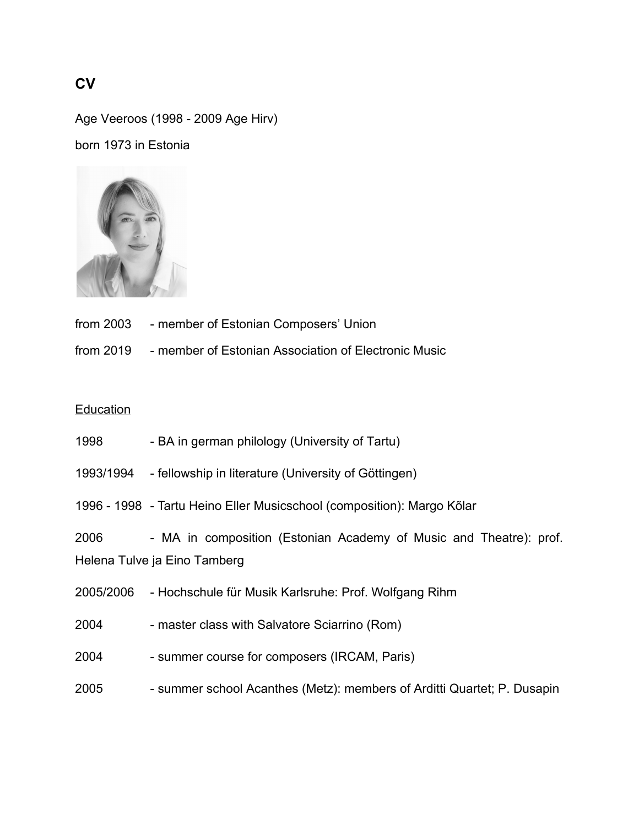## **CV**

Age Veeroos (1998 - 2009 Age Hirv)

born 1973 in Estonia



- from 2003 member of Estonian Composers' Union
- from 2019 member of Estonian Association of Electronic Music

## **Education**

- 1998 BA in german philology (University of Tartu)
- 1993/1994 fellowship in literature (University of Göttingen)
- 1996 1998 Tartu Heino Eller Musicschool (composition): Margo Kõlar

2006 - MA in composition (Estonian Academy of Music and Theatre): prof. Helena Tulve ja Eino Tamberg

- 2005/2006 Hochschule für Musik Karlsruhe: Prof. Wolfgang Rihm
- 2004 master class with Salvatore Sciarrino (Rom)
- 2004 summer course for composers (IRCAM, Paris)
- 2005 summer school Acanthes (Metz): members of Arditti Quartet; P. Dusapin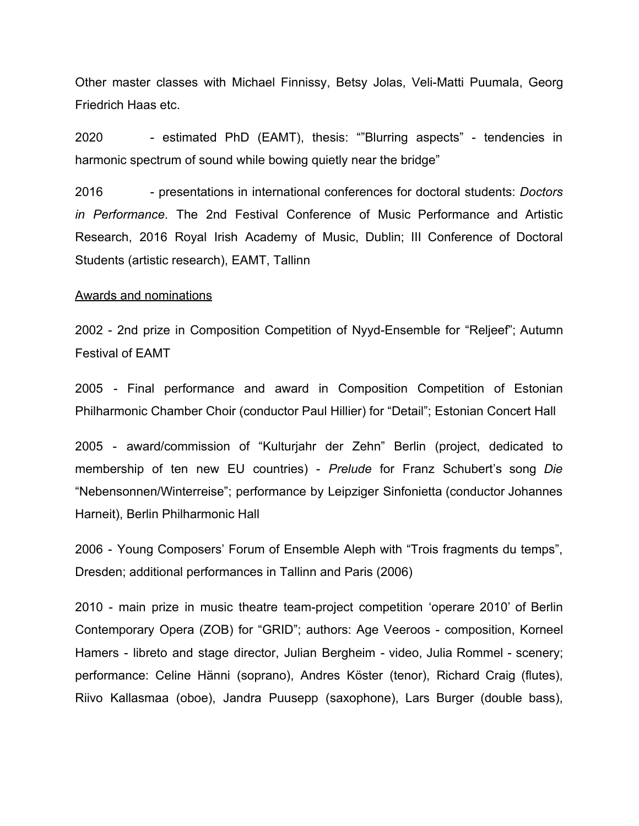Other master classes with Michael Finnissy, Betsy Jolas, Veli-Matti Puumala, Georg Friedrich Haas etc.

2020 - estimated PhD (EAMT), thesis: ""Blurring aspects" - tendencies in harmonic spectrum of sound while bowing quietly near the bridge"

2016 - presentations in international conferences for doctoral students: *Doctors in Performance*. The 2nd Festival Conference of Music Performance and Artistic Research, 2016 Royal Irish Academy of Music, Dublin; III Conference of Doctoral Students (artistic research), EAMT, Tallinn

## Awards and nominations

2002 - 2nd prize in Composition Competition of Nyyd-Ensemble for "Reljeef"; Autumn Festival of EAMT

2005 - Final performance and award in Composition Competition of Estonian Philharmonic Chamber Choir (conductor Paul Hillier) for "Detail"; Estonian Concert Hall

2005 - award/commission of "Kulturjahr der Zehn" Berlin (project, dedicated to membership of ten new EU countries) - *Prelude* for Franz Schubert's song *Die* "Nebensonnen/Winterreise"; performance by Leipziger Sinfonietta (conductor Johannes Harneit), Berlin Philharmonic Hall

2006 - Young Composers' Forum of Ensemble Aleph with "Trois fragments du temps", Dresden; additional performances in Tallinn and Paris (2006)

2010 - main prize in music theatre team-project competition 'operare 2010' of Berlin Contemporary Opera (ZOB) for "GRID"; authors: Age Veeroos - composition, Korneel Hamers - libreto and stage director, Julian Bergheim - video, Julia Rommel - scenery; performance: Celine Hänni (soprano), Andres Köster (tenor), Richard Craig (flutes), Riivo Kallasmaa (oboe), Jandra Puusepp (saxophone), Lars Burger (double bass),